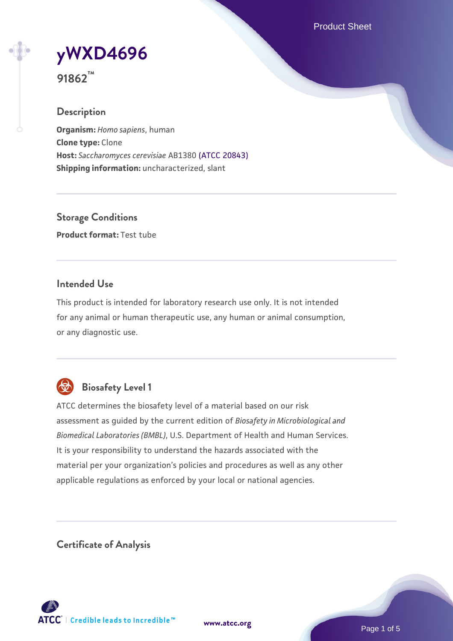Product Sheet

# **[yWXD4696](https://www.atcc.org/products/91862)**

**91862™**

## **Description**

**Organism:** *Homo sapiens*, human **Clone type:** Clone **Host:** *Saccharomyces cerevisiae* AB1380 [\(ATCC 20843\)](https://www.atcc.org/products/20843) **Shipping information:** uncharacterized, slant

**Storage Conditions Product format:** Test tube

## **Intended Use**

This product is intended for laboratory research use only. It is not intended for any animal or human therapeutic use, any human or animal consumption, or any diagnostic use.



# **Biosafety Level 1**

ATCC determines the biosafety level of a material based on our risk assessment as guided by the current edition of *Biosafety in Microbiological and Biomedical Laboratories (BMBL)*, U.S. Department of Health and Human Services. It is your responsibility to understand the hazards associated with the material per your organization's policies and procedures as well as any other applicable regulations as enforced by your local or national agencies.

**Certificate of Analysis**

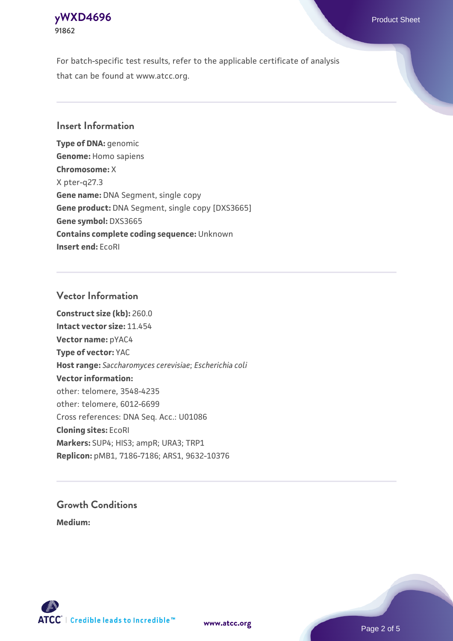## **[yWXD4696](https://www.atcc.org/products/91862)** Product Sheet **91862**

For batch-specific test results, refer to the applicable certificate of analysis that can be found at www.atcc.org.

## **Insert Information**

**Type of DNA:** genomic **Genome:** Homo sapiens **Chromosome:** X X pter-q27.3 **Gene name:** DNA Segment, single copy **Gene product:** DNA Segment, single copy [DXS3665] **Gene symbol:** DXS3665 **Contains complete coding sequence:** Unknown **Insert end:** EcoRI

## **Vector Information**

**Construct size (kb):** 260.0 **Intact vector size:** 11.454 **Vector name:** pYAC4 **Type of vector:** YAC **Host range:** *Saccharomyces cerevisiae*; *Escherichia coli* **Vector information:** other: telomere, 3548-4235 other: telomere, 6012-6699 Cross references: DNA Seq. Acc.: U01086 **Cloning sites:** EcoRI **Markers:** SUP4; HIS3; ampR; URA3; TRP1 **Replicon:** pMB1, 7186-7186; ARS1, 9632-10376

# **Growth Conditions**

**Medium:** 



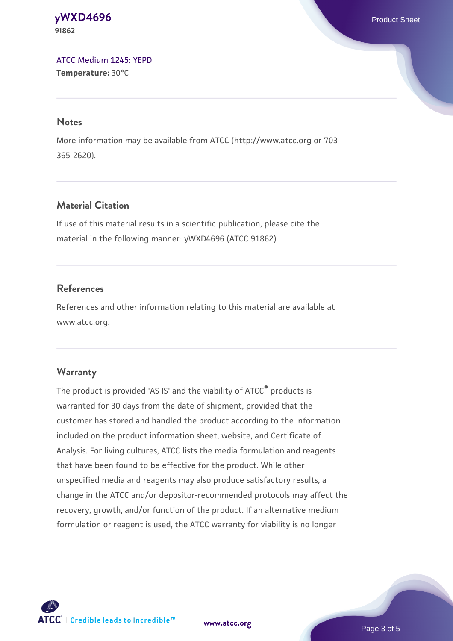#### **[yWXD4696](https://www.atcc.org/products/91862)** Product Sheet **91862**

[ATCC Medium 1245: YEPD](https://www.atcc.org/-/media/product-assets/documents/microbial-media-formulations/1/2/4/5/atcc-medium-1245.pdf?rev=705ca55d1b6f490a808a965d5c072196) **Temperature:** 30°C

#### **Notes**

More information may be available from ATCC (http://www.atcc.org or 703- 365-2620).

## **Material Citation**

If use of this material results in a scientific publication, please cite the material in the following manner: yWXD4696 (ATCC 91862)

## **References**

References and other information relating to this material are available at www.atcc.org.

## **Warranty**

The product is provided 'AS IS' and the viability of ATCC® products is warranted for 30 days from the date of shipment, provided that the customer has stored and handled the product according to the information included on the product information sheet, website, and Certificate of Analysis. For living cultures, ATCC lists the media formulation and reagents that have been found to be effective for the product. While other unspecified media and reagents may also produce satisfactory results, a change in the ATCC and/or depositor-recommended protocols may affect the recovery, growth, and/or function of the product. If an alternative medium formulation or reagent is used, the ATCC warranty for viability is no longer



**[www.atcc.org](http://www.atcc.org)**

Page 3 of 5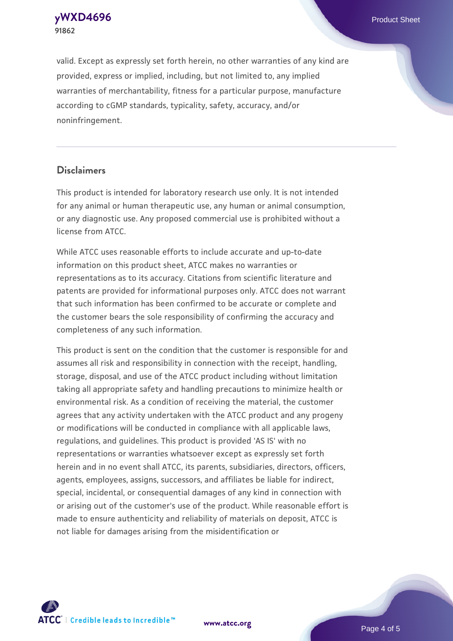**[yWXD4696](https://www.atcc.org/products/91862)** Product Sheet **91862**

valid. Except as expressly set forth herein, no other warranties of any kind are provided, express or implied, including, but not limited to, any implied warranties of merchantability, fitness for a particular purpose, manufacture according to cGMP standards, typicality, safety, accuracy, and/or noninfringement.

#### **Disclaimers**

This product is intended for laboratory research use only. It is not intended for any animal or human therapeutic use, any human or animal consumption, or any diagnostic use. Any proposed commercial use is prohibited without a license from ATCC.

While ATCC uses reasonable efforts to include accurate and up-to-date information on this product sheet, ATCC makes no warranties or representations as to its accuracy. Citations from scientific literature and patents are provided for informational purposes only. ATCC does not warrant that such information has been confirmed to be accurate or complete and the customer bears the sole responsibility of confirming the accuracy and completeness of any such information.

This product is sent on the condition that the customer is responsible for and assumes all risk and responsibility in connection with the receipt, handling, storage, disposal, and use of the ATCC product including without limitation taking all appropriate safety and handling precautions to minimize health or environmental risk. As a condition of receiving the material, the customer agrees that any activity undertaken with the ATCC product and any progeny or modifications will be conducted in compliance with all applicable laws, regulations, and guidelines. This product is provided 'AS IS' with no representations or warranties whatsoever except as expressly set forth herein and in no event shall ATCC, its parents, subsidiaries, directors, officers, agents, employees, assigns, successors, and affiliates be liable for indirect, special, incidental, or consequential damages of any kind in connection with or arising out of the customer's use of the product. While reasonable effort is made to ensure authenticity and reliability of materials on deposit, ATCC is not liable for damages arising from the misidentification or



**[www.atcc.org](http://www.atcc.org)**

Page 4 of 5